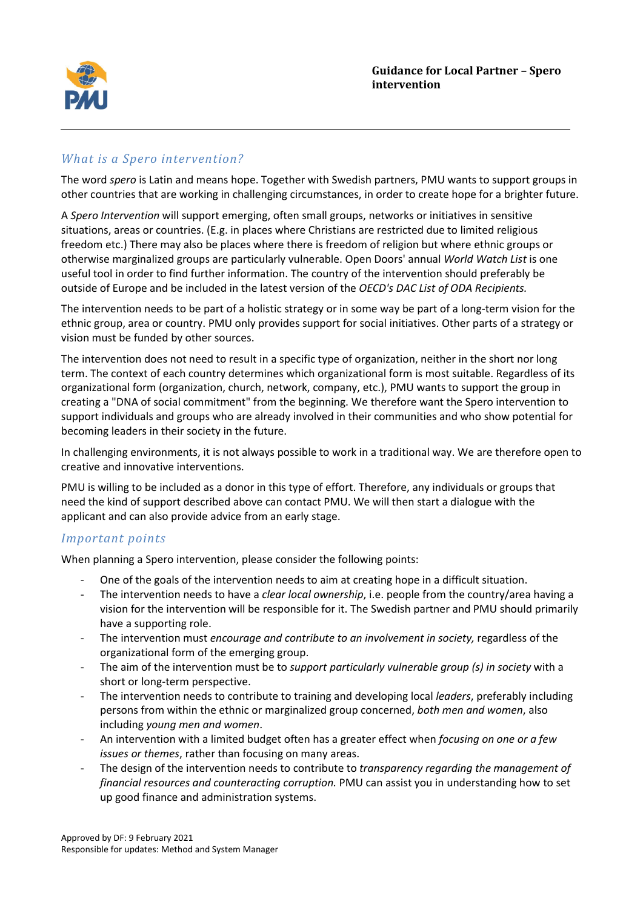

# *What is a Spero intervention?*

The word *spero* is Latin and means hope. Together with Swedish partners, PMU wants to support groups in other countries that are working in challenging circumstances, in order to create hope for a brighter future.

A *Spero Intervention* will support emerging, often small groups, networks or initiatives in sensitive situations, areas or countries. (E.g. in places where Christians are restricted due to limited religious freedom etc.) There may also be places where there is freedom of religion but where ethnic groups or otherwise marginalized groups are particularly vulnerable. Open Doors' annual *World Watch List* is one useful tool in order to find further information. The country of the intervention should preferably be outside of Europe and be included in the latest version of the *OECD's DAC List of ODA Recipients.*

The intervention needs to be part of a holistic strategy or in some way be part of a long-term vision for the ethnic group, area or country. PMU only provides support for social initiatives. Other parts of a strategy or vision must be funded by other sources.

The intervention does not need to result in a specific type of organization, neither in the short nor long term. The context of each country determines which organizational form is most suitable. Regardless of its organizational form (organization, church, network, company, etc.), PMU wants to support the group in creating a "DNA of social commitment" from the beginning. We therefore want the Spero intervention to support individuals and groups who are already involved in their communities and who show potential for becoming leaders in their society in the future.

In challenging environments, it is not always possible to work in a traditional way. We are therefore open to creative and innovative interventions.

PMU is willing to be included as a donor in this type of effort. Therefore, any individuals or groups that need the kind of support described above can contact PMU. We will then start a dialogue with the applicant and can also provide advice from an early stage.

## *Important points*

When planning a Spero intervention, please consider the following points:

- One of the goals of the intervention needs to aim at creating hope in a difficult situation.
- The intervention needs to have a *clear local ownership*, i.e. people from the country/area having a vision for the intervention will be responsible for it. The Swedish partner and PMU should primarily have a supporting role.
- The intervention must *encourage and contribute to an involvement in society,* regardless of the organizational form of the emerging group.
- The aim of the intervention must be to *support particularly vulnerable group (s) in society* with a short or long-term perspective.
- The intervention needs to contribute to training and developing local *leaders*, preferably including persons from within the ethnic or marginalized group concerned, *both men and women*, also including *young men and women*.
- An intervention with a limited budget often has a greater effect when *focusing on one or a few issues or themes*, rather than focusing on many areas.
- The design of the intervention needs to contribute to *transparency regarding the management of financial resources and counteracting corruption.* PMU can assist you in understanding how to set up good finance and administration systems.